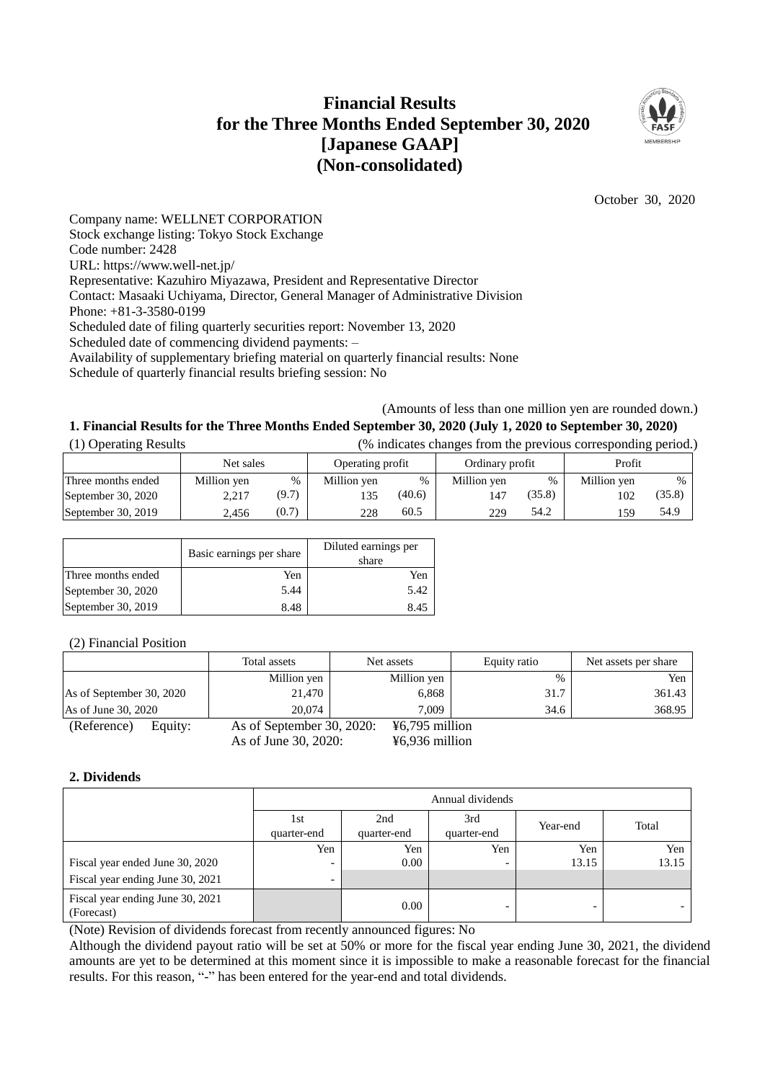## **Financial Results for the Three Months Ended September 30, 2020 [Japanese GAAP] (Non-consolidated)**



October 30, 2020

Company name: WELLNET CORPORATION Stock exchange listing: Tokyo Stock Exchange Code number: 2428 URL: https://www.well-net.jp/ Representative: Kazuhiro Miyazawa, President and Representative Director Contact: Masaaki Uchiyama, Director, General Manager of Administrative Division Phone: +81-3-3580-0199 Scheduled date of filing quarterly securities report: November 13, 2020 Scheduled date of commencing dividend payments: – Availability of supplementary briefing material on quarterly financial results: None Schedule of quarterly financial results briefing session: No

(Amounts of less than one million yen are rounded down.)

# **1. Financial Results for the Three Months Ended September 30, 2020 (July 1, 2020 to September 30, 2020)**

| (1) Operating Results | (% indicates changes from the previous corresponding period.) |       |                  |        |                 |        |             |               |
|-----------------------|---------------------------------------------------------------|-------|------------------|--------|-----------------|--------|-------------|---------------|
|                       | Net sales                                                     |       | Operating profit |        | Ordinary profit |        | Profit      |               |
| Three months ended    | Million yen                                                   | $\%$  | Million yen      | %      | Million yen     | $\%$   | Million yen | $\frac{0}{0}$ |
| September 30, 2020    | 2.217                                                         | (9.7) | 135              | (40.6) | 147             | (35.8) | 102         | (35.8)        |
| September 30, 2019    | 2.456                                                         | (0.7) | 228              | 60.5   | 229             | 54.2   | 159         | 54.9          |

|                    | Basic earnings per share | Diluted earnings per<br>share |
|--------------------|--------------------------|-------------------------------|
| Three months ended | Yen                      | Yen                           |
| September 30, 2020 | 5.44                     | 5.42                          |
| September 30, 2019 | 8.48                     | 8.45                          |

## (2) Financial Position

|                          | Total assets              | Net assets                 | Equity ratio  | Net assets per share |
|--------------------------|---------------------------|----------------------------|---------------|----------------------|
|                          | Million yen               | Million yen                | $\frac{0}{0}$ | Yen                  |
| As of September 30, 2020 | 21,470                    | 6,868                      | 31.7          | 361.43               |
| As of June 30, 2020      | 20.074                    | 7.009                      | 34.6          | 368.95               |
| (Reference)<br>Equity:   | As of September 30, 2020: | $\frac{1}{2}6,795$ million |               |                      |
|                          | As of June 30, 2020:      | $46,936$ million           |               |                      |

## **2. Dividends**

|                                                | Annual dividends   |                    |                    |          |       |
|------------------------------------------------|--------------------|--------------------|--------------------|----------|-------|
|                                                | 1st<br>quarter-end | 2nd<br>quarter-end | 3rd<br>quarter-end | Year-end | Total |
|                                                | Yen                | Yen                | Yen                | Yen      | Yen   |
| Fiscal year ended June 30, 2020                |                    | 0.00               | -                  | 13.15    | 13.15 |
| Fiscal year ending June 30, 2021               | -                  |                    |                    |          |       |
| Fiscal year ending June 30, 2021<br>(Forecast) |                    | 0.00               | -                  | -        |       |

(Note) Revision of dividends forecast from recently announced figures: No

Although the dividend payout ratio will be set at 50% or more for the fiscal year ending June 30, 2021, the dividend amounts are yet to be determined at this moment since it is impossible to make a reasonable forecast for the financial results. For this reason, "-" has been entered for the year-end and total dividends.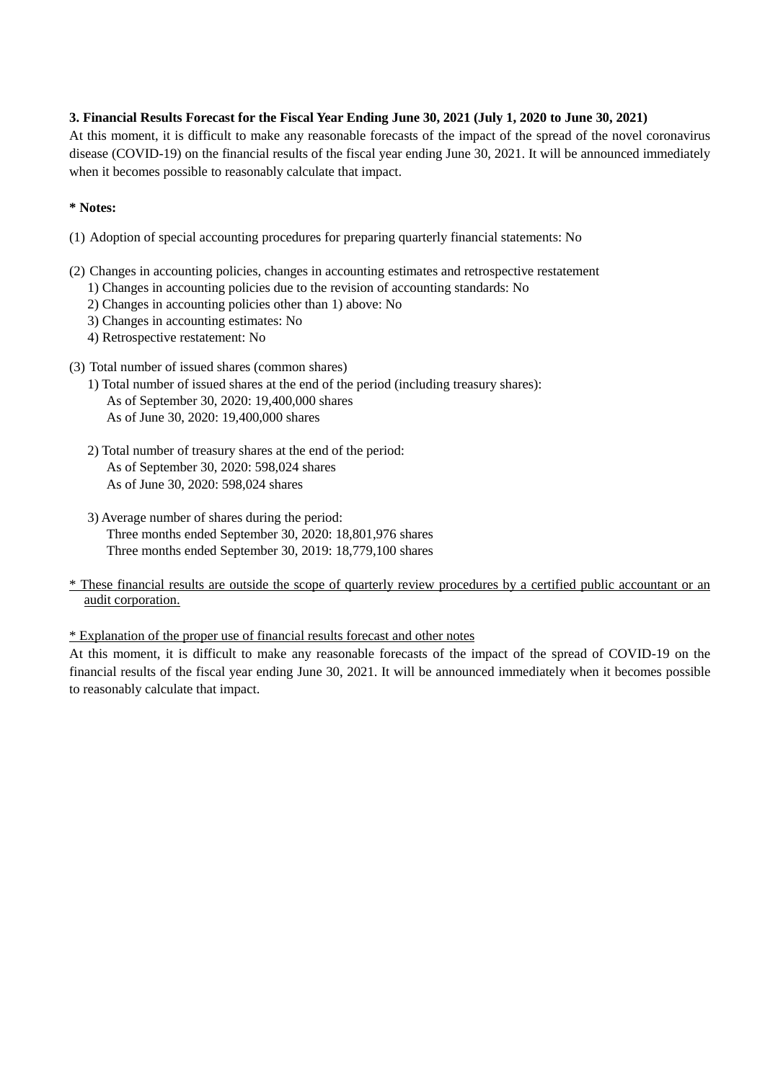## **3. Financial Results Forecast for the Fiscal Year Ending June 30, 2021 (July 1, 2020 to June 30, 2021)**

At this moment, it is difficult to make any reasonable forecasts of the impact of the spread of the novel coronavirus disease (COVID-19) on the financial results of the fiscal year ending June 30, 2021. It will be announced immediately when it becomes possible to reasonably calculate that impact.

## **\* Notes:**

- (1) Adoption of special accounting procedures for preparing quarterly financial statements: No
- (2) Changes in accounting policies, changes in accounting estimates and retrospective restatement
	- 1) Changes in accounting policies due to the revision of accounting standards: No
	- 2) Changes in accounting policies other than 1) above: No
	- 3) Changes in accounting estimates: No
	- 4) Retrospective restatement: No
- (3) Total number of issued shares (common shares)
	- 1) Total number of issued shares at the end of the period (including treasury shares): As of September 30, 2020: 19,400,000 shares As of June 30, 2020: 19,400,000 shares
	- 2) Total number of treasury shares at the end of the period: As of September 30, 2020: 598,024 shares As of June 30, 2020: 598,024 shares
	- 3) Average number of shares during the period: Three months ended September 30, 2020: 18,801,976 shares Three months ended September 30, 2019: 18,779,100 shares
- \* These financial results are outside the scope of quarterly review procedures by a certified public accountant or an audit corporation.

\* Explanation of the proper use of financial results forecast and other notes

At this moment, it is difficult to make any reasonable forecasts of the impact of the spread of COVID-19 on the financial results of the fiscal year ending June 30, 2021. It will be announced immediately when it becomes possible to reasonably calculate that impact.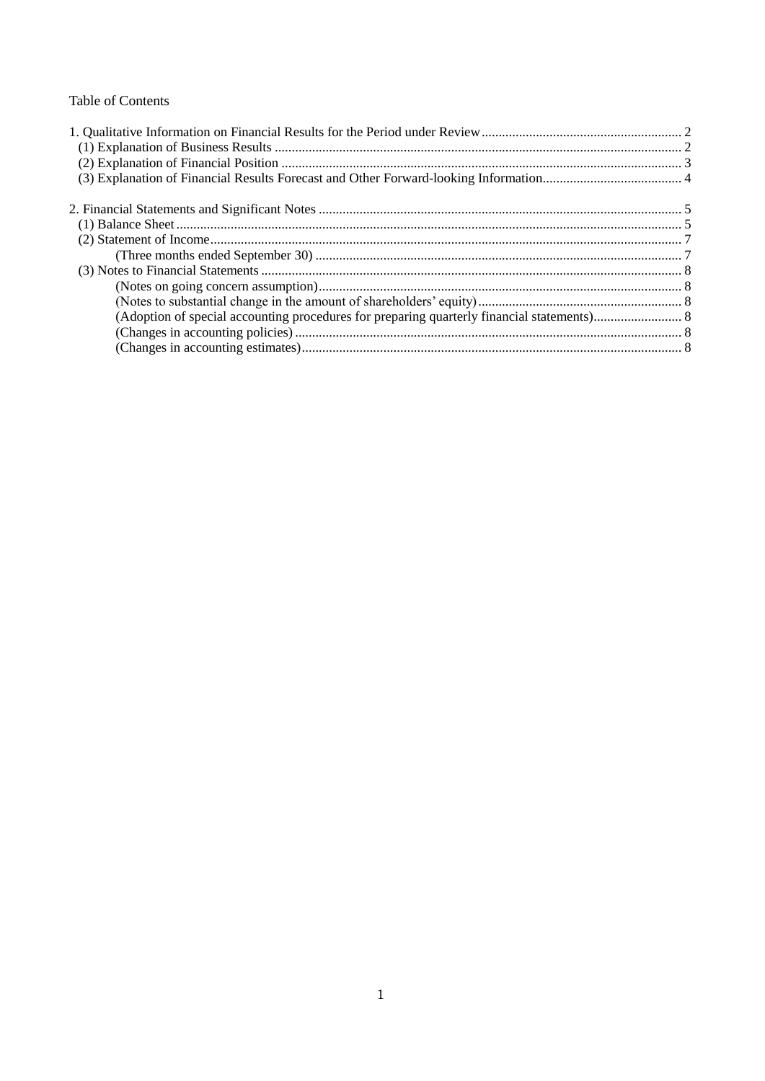## **Table of Contents**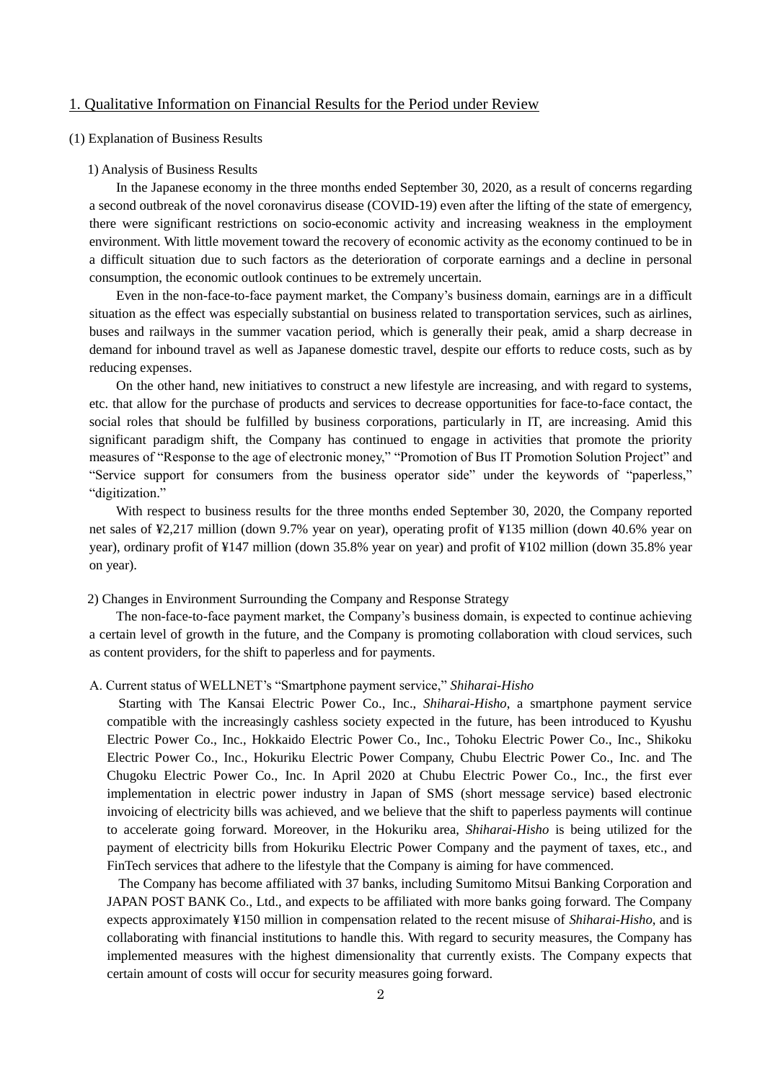## <span id="page-3-0"></span>1. Qualitative Information on Financial Results for the Period under Review

#### <span id="page-3-1"></span>(1) Explanation of Business Results

#### 1) Analysis of Business Results

In the Japanese economy in the three months ended September 30, 2020, as a result of concerns regarding a second outbreak of the novel coronavirus disease (COVID-19) even after the lifting of the state of emergency, there were significant restrictions on socio-economic activity and increasing weakness in the employment environment. With little movement toward the recovery of economic activity as the economy continued to be in a difficult situation due to such factors as the deterioration of corporate earnings and a decline in personal consumption, the economic outlook continues to be extremely uncertain.

Even in the non-face-to-face payment market, the Company's business domain, earnings are in a difficult situation as the effect was especially substantial on business related to transportation services, such as airlines, buses and railways in the summer vacation period, which is generally their peak, amid a sharp decrease in demand for inbound travel as well as Japanese domestic travel, despite our efforts to reduce costs, such as by reducing expenses.

On the other hand, new initiatives to construct a new lifestyle are increasing, and with regard to systems, etc. that allow for the purchase of products and services to decrease opportunities for face-to-face contact, the social roles that should be fulfilled by business corporations, particularly in IT, are increasing. Amid this significant paradigm shift, the Company has continued to engage in activities that promote the priority measures of "Response to the age of electronic money," "Promotion of Bus IT Promotion Solution Project" and "Service support for consumers from the business operator side" under the keywords of "paperless," "digitization."

With respect to business results for the three months ended September 30, 2020, the Company reported net sales of ¥2,217 million (down 9.7% year on year), operating profit of ¥135 million (down 40.6% year on year), ordinary profit of ¥147 million (down 35.8% year on year) and profit of ¥102 million (down 35.8% year on year).

#### 2) Changes in Environment Surrounding the Company and Response Strategy

The non-face-to-face payment market, the Company's business domain, is expected to continue achieving a certain level of growth in the future, and the Company is promoting collaboration with cloud services, such as content providers, for the shift to paperless and for payments.

#### A. Current status of WELLNET's "Smartphone payment service," *Shiharai-Hisho*

Starting with The Kansai Electric Power Co., Inc., *Shiharai-Hisho*, a smartphone payment service compatible with the increasingly cashless society expected in the future, has been introduced to Kyushu Electric Power Co., Inc., Hokkaido Electric Power Co., Inc., Tohoku Electric Power Co., Inc., Shikoku Electric Power Co., Inc., Hokuriku Electric Power Company, Chubu Electric Power Co., Inc. and The Chugoku Electric Power Co., Inc. In April 2020 at Chubu Electric Power Co., Inc., the first ever implementation in electric power industry in Japan of SMS (short message service) based electronic invoicing of electricity bills was achieved, and we believe that the shift to paperless payments will continue to accelerate going forward. Moreover, in the Hokuriku area, *Shiharai-Hisho* is being utilized for the payment of electricity bills from Hokuriku Electric Power Company and the payment of taxes, etc., and FinTech services that adhere to the lifestyle that the Company is aiming for have commenced.

The Company has become affiliated with 37 banks, including Sumitomo Mitsui Banking Corporation and JAPAN POST BANK Co., Ltd., and expects to be affiliated with more banks going forward. The Company expects approximately ¥150 million in compensation related to the recent misuse of *Shiharai-Hisho*, and is collaborating with financial institutions to handle this. With regard to security measures, the Company has implemented measures with the highest dimensionality that currently exists. The Company expects that certain amount of costs will occur for security measures going forward.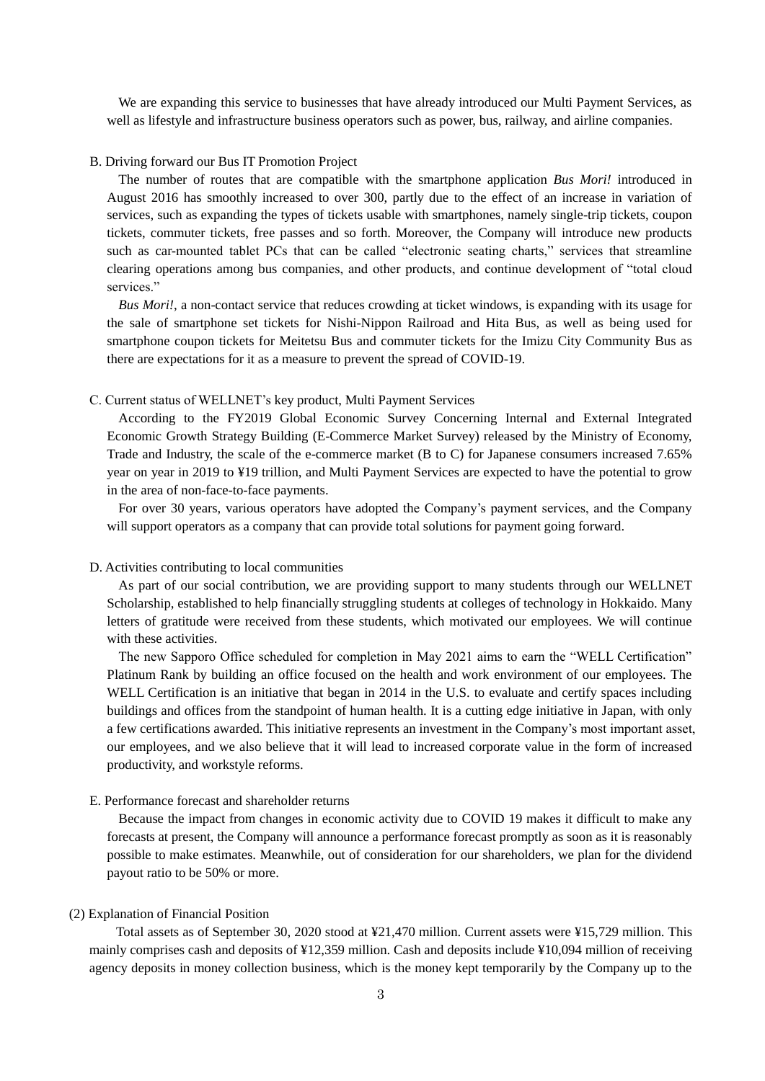We are expanding this service to businesses that have already introduced our Multi Payment Services, as well as lifestyle and infrastructure business operators such as power, bus, railway, and airline companies.

#### B. Driving forward our Bus IT Promotion Project

The number of routes that are compatible with the smartphone application *Bus Mori!* introduced in August 2016 has smoothly increased to over 300, partly due to the effect of an increase in variation of services, such as expanding the types of tickets usable with smartphones, namely single-trip tickets, coupon tickets, commuter tickets, free passes and so forth. Moreover, the Company will introduce new products such as car-mounted tablet PCs that can be called "electronic seating charts," services that streamline clearing operations among bus companies, and other products, and continue development of "total cloud services."

*Bus Mori!*, a non-contact service that reduces crowding at ticket windows, is expanding with its usage for the sale of smartphone set tickets for Nishi-Nippon Railroad and Hita Bus, as well as being used for smartphone coupon tickets for Meitetsu Bus and commuter tickets for the Imizu City Community Bus as there are expectations for it as a measure to prevent the spread of COVID-19.

#### C. Current status of WELLNET's key product, Multi Payment Services

According to the FY2019 Global Economic Survey Concerning Internal and External Integrated Economic Growth Strategy Building (E-Commerce Market Survey) released by the Ministry of Economy, Trade and Industry, the scale of the e-commerce market (B to C) for Japanese consumers increased 7.65% year on year in 2019 to ¥19 trillion, and Multi Payment Services are expected to have the potential to grow in the area of non-face-to-face payments.

For over 30 years, various operators have adopted the Company's payment services, and the Company will support operators as a company that can provide total solutions for payment going forward.

#### D. Activities contributing to local communities

As part of our social contribution, we are providing support to many students through our WELLNET Scholarship, established to help financially struggling students at colleges of technology in Hokkaido. Many letters of gratitude were received from these students, which motivated our employees. We will continue with these activities.

The new Sapporo Office scheduled for completion in May 2021 aims to earn the "WELL Certification" Platinum Rank by building an office focused on the health and work environment of our employees. The WELL Certification is an initiative that began in 2014 in the U.S. to evaluate and certify spaces including buildings and offices from the standpoint of human health. It is a cutting edge initiative in Japan, with only a few certifications awarded. This initiative represents an investment in the Company's most important asset, our employees, and we also believe that it will lead to increased corporate value in the form of increased productivity, and workstyle reforms.

#### E. Performance forecast and shareholder returns

Because the impact from changes in economic activity due to COVID 19 makes it difficult to make any forecasts at present, the Company will announce a performance forecast promptly as soon as it is reasonably possible to make estimates. Meanwhile, out of consideration for our shareholders, we plan for the dividend payout ratio to be 50% or more.

#### <span id="page-4-0"></span>(2) Explanation of Financial Position

Total assets as of September 30, 2020 stood at ¥21,470 million. Current assets were ¥15,729 million. This mainly comprises cash and deposits of ¥12,359 million. Cash and deposits include ¥10,094 million of receiving agency deposits in money collection business, which is the money kept temporarily by the Company up to the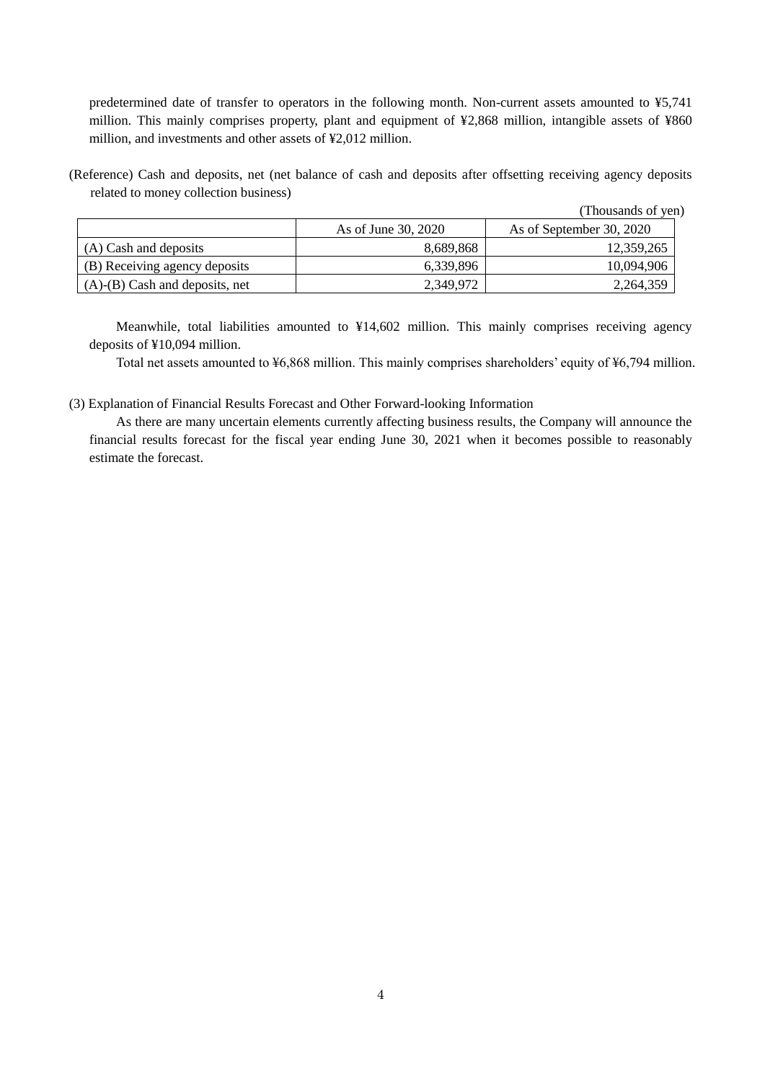predetermined date of transfer to operators in the following month. Non-current assets amounted to ¥5,741 million. This mainly comprises property, plant and equipment of ¥2,868 million, intangible assets of ¥860 million, and investments and other assets of ¥2,012 million.

(Reference) Cash and deposits, net (net balance of cash and deposits after offsetting receiving agency deposits related to money collection business)

|                                      |                     | (Thousands of yen)       |
|--------------------------------------|---------------------|--------------------------|
|                                      | As of June 30, 2020 | As of September 30, 2020 |
| (A) Cash and deposits                | 8,689,868           | 12,359,265               |
| (B) Receiving agency deposits        | 6,339,896           | 10,094,906               |
| $(A)$ - $(B)$ Cash and deposits, net | 2,349,972           | 2,264,359                |

Meanwhile, total liabilities amounted to ¥14,602 million. This mainly comprises receiving agency deposits of ¥10,094 million.

Total net assets amounted to ¥6,868 million. This mainly comprises shareholders' equity of ¥6,794 million.

<span id="page-5-0"></span>(3) Explanation of Financial Results Forecast and Other Forward-looking Information

As there are many uncertain elements currently affecting business results, the Company will announce the financial results forecast for the fiscal year ending June 30, 2021 when it becomes possible to reasonably estimate the forecast.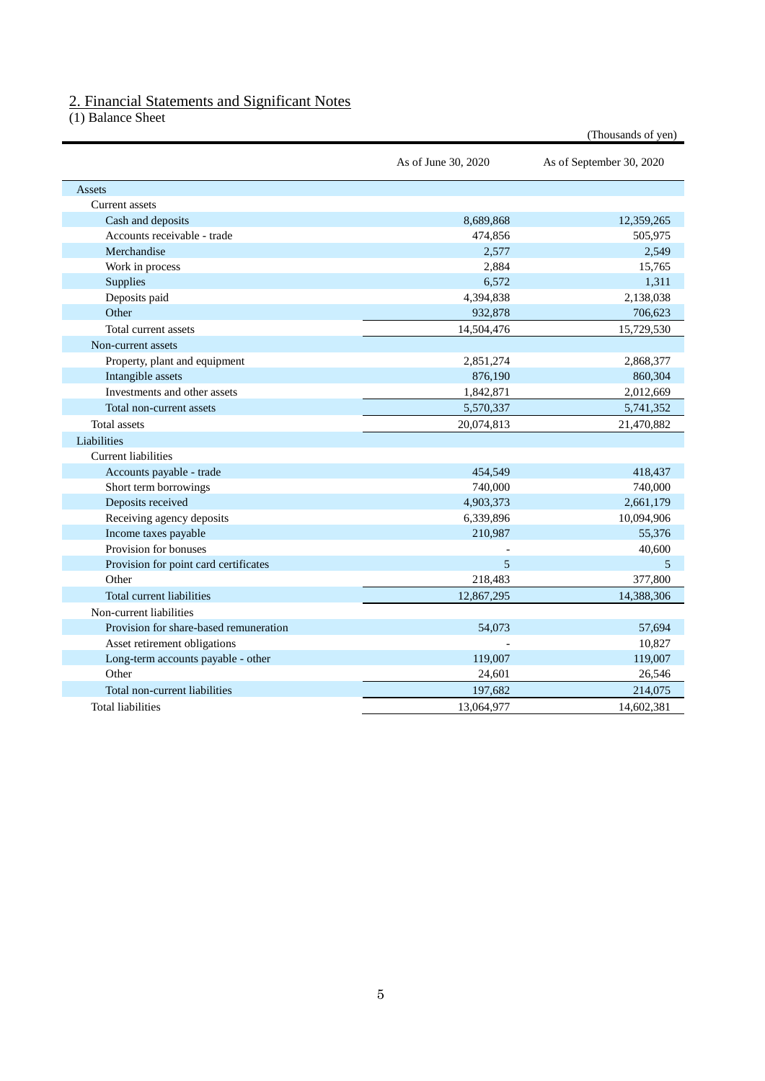## <span id="page-6-0"></span>2. Financial Statements and Significant Notes

<span id="page-6-1"></span>(1) Balance Sheet

|                                        |                     | (Thousands of yen)       |
|----------------------------------------|---------------------|--------------------------|
|                                        | As of June 30, 2020 | As of September 30, 2020 |
| Assets                                 |                     |                          |
| <b>Current</b> assets                  |                     |                          |
| Cash and deposits                      | 8,689,868           | 12,359,265               |
| Accounts receivable - trade            | 474,856             | 505,975                  |
| Merchandise                            | 2,577               | 2,549                    |
| Work in process                        | 2,884               | 15,765                   |
| Supplies                               | 6,572               | 1,311                    |
| Deposits paid                          | 4,394,838           | 2,138,038                |
| Other                                  | 932,878             | 706,623                  |
| Total current assets                   | 14,504,476          | 15,729,530               |
| Non-current assets                     |                     |                          |
| Property, plant and equipment          | 2,851,274           | 2,868,377                |
| Intangible assets                      | 876,190             | 860,304                  |
| Investments and other assets           | 1,842,871           | 2,012,669                |
| Total non-current assets               | 5,570,337           | 5,741,352                |
| <b>Total</b> assets                    | 20,074,813          | 21,470,882               |
| Liabilities                            |                     |                          |
| Current liabilities                    |                     |                          |
| Accounts payable - trade               | 454,549             | 418,437                  |
| Short term borrowings                  | 740,000             | 740,000                  |
| Deposits received                      | 4,903,373           | 2,661,179                |
| Receiving agency deposits              | 6,339,896           | 10,094,906               |
| Income taxes payable                   | 210,987             | 55,376                   |
| Provision for bonuses                  |                     | 40,600                   |
| Provision for point card certificates  | 5                   | 5                        |
| Other                                  | 218,483             | 377,800                  |
| Total current liabilities              | 12,867,295          | 14,388,306               |
| Non-current liabilities                |                     |                          |
| Provision for share-based remuneration | 54,073              | 57,694                   |
| Asset retirement obligations           |                     | 10,827                   |
| Long-term accounts payable - other     | 119,007             | 119,007                  |
| Other                                  | 24,601              | 26,546                   |
| Total non-current liabilities          | 197,682             | 214,075                  |
| <b>Total liabilities</b>               | 13,064,977          | 14,602,381               |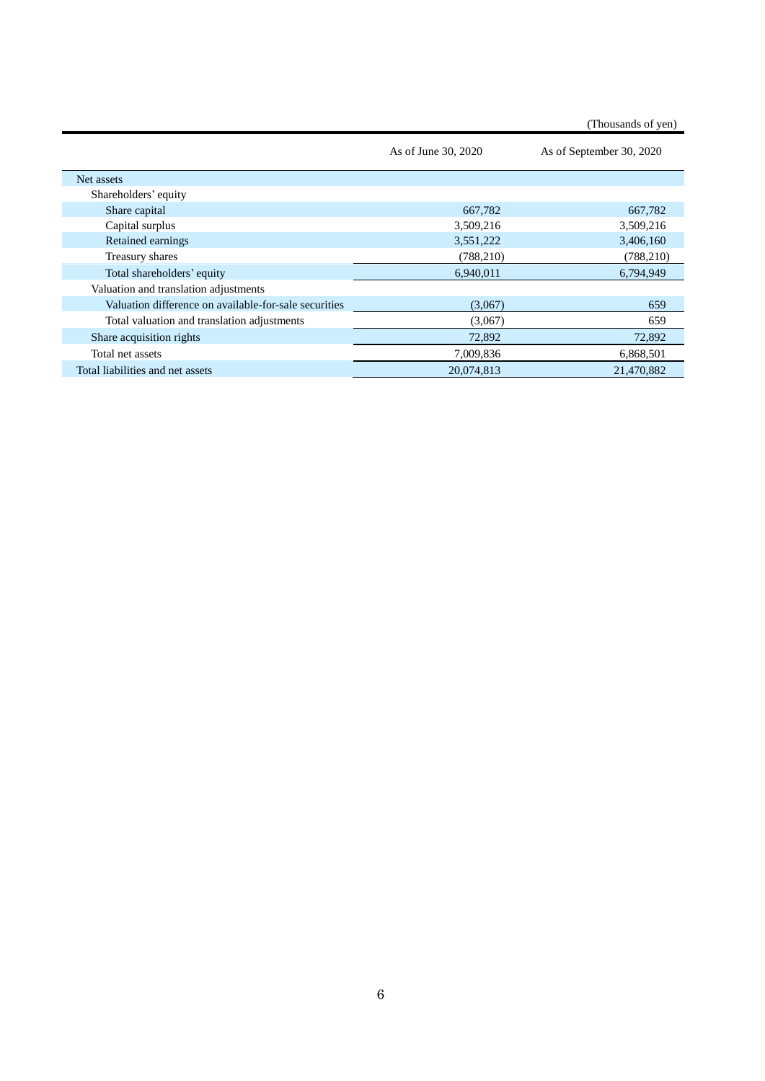|                                                       |                     | (Thousands of yen)       |
|-------------------------------------------------------|---------------------|--------------------------|
|                                                       | As of June 30, 2020 | As of September 30, 2020 |
| Net assets                                            |                     |                          |
| Shareholders' equity                                  |                     |                          |
| Share capital                                         | 667,782             | 667,782                  |
| Capital surplus                                       | 3,509,216           | 3,509,216                |
| Retained earnings                                     | 3,551,222           | 3,406,160                |
| Treasury shares                                       | (788, 210)          | (788, 210)               |
| Total shareholders' equity                            | 6,940,011           | 6,794,949                |
| Valuation and translation adjustments                 |                     |                          |
| Valuation difference on available-for-sale securities | (3,067)             | 659                      |
| Total valuation and translation adjustments           | (3,067)             | 659                      |
| Share acquisition rights                              | 72,892              | 72,892                   |
| Total net assets                                      | 7,009,836           | 6,868,501                |
| Total liabilities and net assets                      | 20,074,813          | 21,470,882               |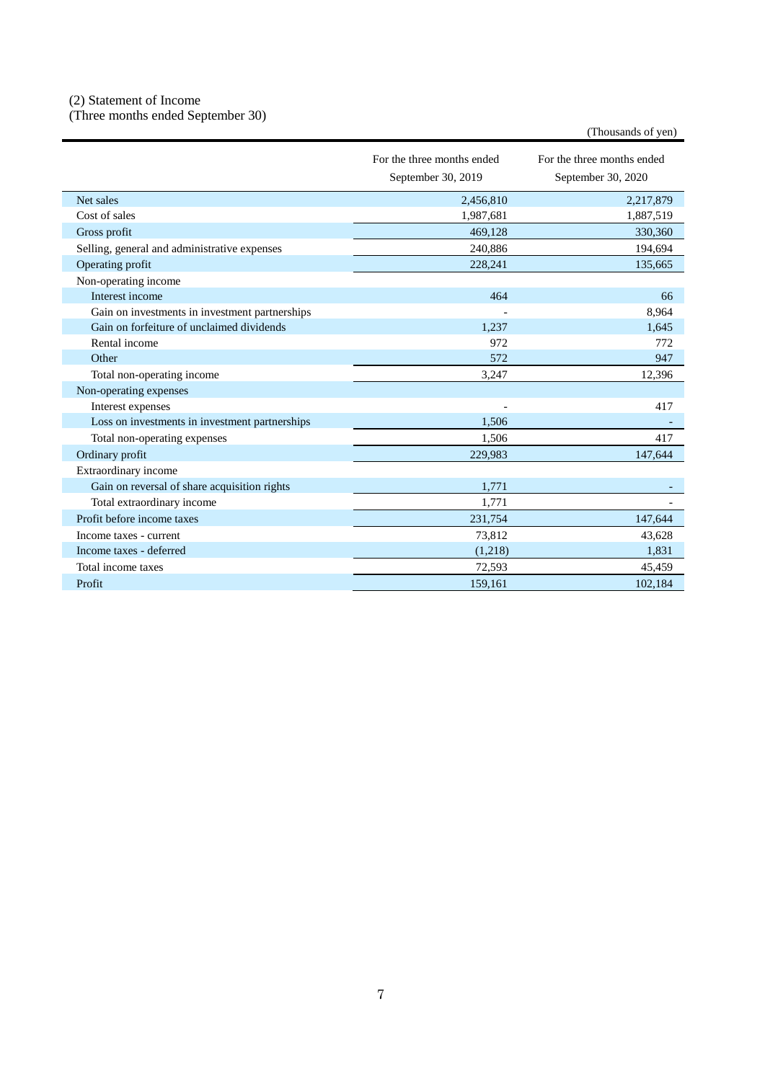## <span id="page-8-0"></span>(2) Statement of Income

<span id="page-8-1"></span>(Three months ended September 30)

|                                                | For the three months ended<br>September 30, 2019 | For the three months ended<br>September 30, 2020 |
|------------------------------------------------|--------------------------------------------------|--------------------------------------------------|
| Net sales                                      | 2,456,810                                        | 2,217,879                                        |
| Cost of sales                                  | 1,987,681                                        | 1,887,519                                        |
| Gross profit                                   | 469,128                                          | 330,360                                          |
| Selling, general and administrative expenses   | 240,886                                          | 194,694                                          |
| Operating profit                               | 228,241                                          | 135,665                                          |
| Non-operating income                           |                                                  |                                                  |
| Interest income                                | 464                                              | 66                                               |
| Gain on investments in investment partnerships |                                                  | 8,964                                            |
| Gain on forfeiture of unclaimed dividends      | 1,237                                            | 1.645                                            |
| Rental income                                  | 972                                              | 772                                              |
| Other                                          | 572                                              | 947                                              |
| Total non-operating income                     | 3,247                                            | 12,396                                           |
| Non-operating expenses                         |                                                  |                                                  |
| Interest expenses                              |                                                  | 417                                              |
| Loss on investments in investment partnerships | 1,506                                            |                                                  |
| Total non-operating expenses                   | 1.506                                            | 417                                              |
| Ordinary profit                                | 229,983                                          | 147,644                                          |
| Extraordinary income                           |                                                  |                                                  |
| Gain on reversal of share acquisition rights   | 1,771                                            |                                                  |
| Total extraordinary income                     | 1,771                                            |                                                  |
| Profit before income taxes                     | 231,754                                          | 147,644                                          |
| Income taxes - current                         | 73,812                                           | 43,628                                           |
| Income taxes - deferred                        | (1,218)                                          | 1,831                                            |
| Total income taxes                             | 72,593                                           | 45,459                                           |
| Profit                                         | 159,161                                          | 102.184                                          |

(Thousands of yen)